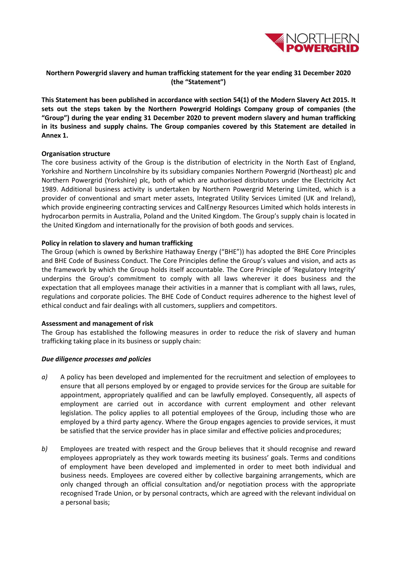

# **Northern Powergrid slavery and human trafficking statement for the year ending 31 December 2020 (the "Statement")**

**This Statement has been published in accordance with section 54(1) of the Modern Slavery Act 2015. It sets out the steps taken by the Northern Powergrid Holdings Company group of companies (the "Group") during the year ending 31 December 2020 to prevent modern slavery and human trafficking in its business and supply chains. The Group companies covered by this Statement are detailed in Annex 1.**

#### **Organisation structure**

The core business activity of the Group is the distribution of electricity in the North East of England, Yorkshire and Northern Lincolnshire by its subsidiary companies Northern Powergrid (Northeast) plc and Northern Powergrid (Yorkshire) plc, both of which are authorised distributors under the Electricity Act 1989. Additional business activity is undertaken by Northern Powergrid Metering Limited, which is a provider of conventional and smart meter assets, Integrated Utility Services Limited (UK and Ireland), which provide engineering contracting services and CalEnergy Resources Limited which holds interests in hydrocarbon permits in Australia, Poland and the United Kingdom. The Group's supply chain is located in the United Kingdom and internationally for the provision of both goods and services.

## **Policy in relation to slavery and human trafficking**

The Group (which is owned by Berkshire Hathaway Energy ("BHE")) has adopted the BHE Core Principles and BHE Code of Business Conduct. The Core Principles define the Group's values and vision, and acts as the framework by which the Group holds itself accountable. The Core Principle of 'Regulatory Integrity' underpins the Group's commitment to comply with all laws wherever it does business and the expectation that all employees manage their activities in a manner that is compliant with all laws, rules, regulations and corporate policies. The BHE Code of Conduct requires adherence to the highest level of ethical conduct and fair dealings with all customers, suppliers and competitors.

#### **Assessment and management of risk**

The Group has established the following measures in order to reduce the risk of slavery and human trafficking taking place in its business or supply chain:

#### *Due diligence processes and policies*

- *a)* A policy has been developed and implemented for the recruitment and selection of employees to ensure that all persons employed by or engaged to provide services for the Group are suitable for appointment, appropriately qualified and can be lawfully employed. Consequently, all aspects of employment are carried out in accordance with current employment and other relevant legislation. The policy applies to all potential employees of the Group, including those who are employed by a third party agency. Where the Group engages agencies to provide services, it must be satisfied that the service provider has in place similar and effective policies andprocedures;
- *b)* Employees are treated with respect and the Group believes that it should recognise and reward employees appropriately as they work towards meeting its business' goals. Terms and conditions of employment have been developed and implemented in order to meet both individual and business needs. Employees are covered either by collective bargaining arrangements, which are only changed through an official consultation and/or negotiation process with the appropriate recognised Trade Union, or by personal contracts, which are agreed with the relevant individual on a personal basis;